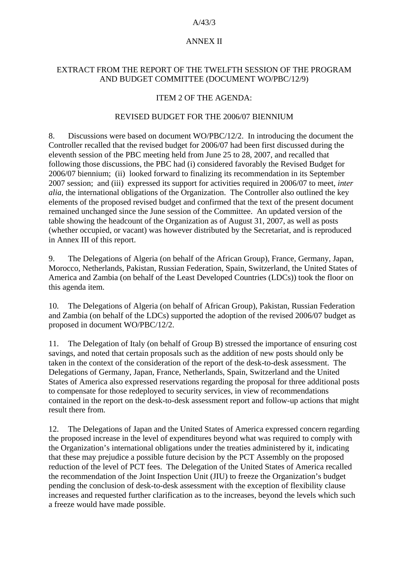#### A/43/3

## ANNEX II

## EXTRACT FROM THE REPORT OF THE TWELFTH SESSION OF THE PROGRAM AND BUDGET COMMITTEE (DOCUMENT WO/PBC/12/9)

## ITEM 2 OF THE AGENDA:

### REVISED BUDGET FOR THE 2006/07 BIENNIUM

8. Discussions were based on document WO/PBC/12/2. In introducing the document the Controller recalled that the revised budget for 2006/07 had been first discussed during the eleventh session of the PBC meeting held from June 25 to 28, 2007, and recalled that following those discussions, the PBC had (i) considered favorably the Revised Budget for 2006/07 biennium; (ii) looked forward to finalizing its recommendation in its September 2007 session; and (iii) expressed its support for activities required in 2006/07 to meet, *inter alia*, the international obligations of the Organization. The Controller also outlined the key elements of the proposed revised budget and confirmed that the text of the present document remained unchanged since the June session of the Committee. An updated version of the table showing the headcount of the Organization as of August 31, 2007, as well as posts (whether occupied, or vacant) was however distributed by the Secretariat, and is reproduced in Annex III of this report.

9. The Delegations of Algeria (on behalf of the African Group), France, Germany, Japan, Morocco, Netherlands, Pakistan, Russian Federation, Spain, Switzerland, the United States of America and Zambia (on behalf of the Least Developed Countries (LDCs)) took the floor on this agenda item.

10. The Delegations of Algeria (on behalf of African Group), Pakistan, Russian Federation and Zambia (on behalf of the LDCs) supported the adoption of the revised 2006/07 budget as proposed in document WO/PBC/12/2.

11. The Delegation of Italy (on behalf of Group B) stressed the importance of ensuring cost savings, and noted that certain proposals such as the addition of new posts should only be taken in the context of the consideration of the report of the desk-to-desk assessment. The Delegations of Germany, Japan, France, Netherlands, Spain, Switzerland and the United States of America also expressed reservations regarding the proposal for three additional posts to compensate for those redeployed to security services, in view of recommendations contained in the report on the desk-to-desk assessment report and follow-up actions that might result there from.

12. The Delegations of Japan and the United States of America expressed concern regarding the proposed increase in the level of expenditures beyond what was required to comply with the Organization's international obligations under the treaties administered by it, indicating that these may prejudice a possible future decision by the PCT Assembly on the proposed reduction of the level of PCT fees. The Delegation of the United States of America recalled the recommendation of the Joint Inspection Unit (JIU) to freeze the Organization's budget pending the conclusion of desk-to-desk assessment with the exception of flexibility clause increases and requested further clarification as to the increases, beyond the levels which such a freeze would have made possible.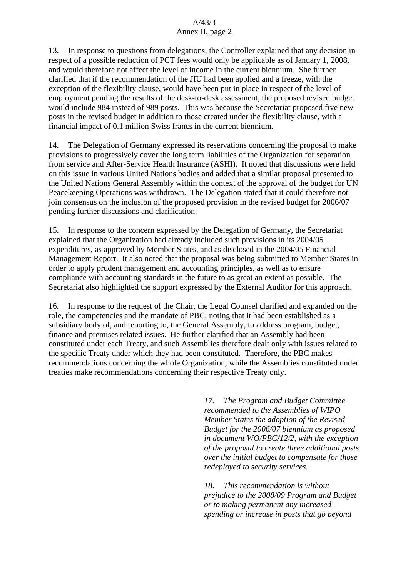13. In response to questions from delegations, the Controller explained that any decision in respect of a possible reduction of PCT fees would only be applicable as of January 1, 2008, and would therefore not affect the level of income in the current biennium. She further clarified that if the recommendation of the JIU had been applied and a freeze, with the exception of the flexibility clause, would have been put in place in respect of the level of employment pending the results of the desk-to-desk assessment, the proposed revised budget would include 984 instead of 989 posts. This was because the Secretariat proposed five new posts in the revised budget in addition to those created under the flexibility clause, with a financial impact of 0.1 million Swiss francs in the current biennium.

14. The Delegation of Germany expressed its reservations concerning the proposal to make provisions to progressively cover the long term liabilities of the Organization for separation from service and After-Service Health Insurance (ASHI). It noted that discussions were held on this issue in various United Nations bodies and added that a similar proposal presented to the United Nations General Assembly within the context of the approval of the budget for UN Peacekeeping Operations was withdrawn. The Delegation stated that it could therefore not join consensus on the inclusion of the proposed provision in the revised budget for 2006/07 pending further discussions and clarification.

15. In response to the concern expressed by the Delegation of Germany, the Secretariat explained that the Organization had already included such provisions in its 2004/05 expenditures, as approved by Member States, and as disclosed in the 2004/05 Financial Management Report. It also noted that the proposal was being submitted to Member States in order to apply prudent management and accounting principles, as well as to ensure compliance with accounting standards in the future to as great an extent as possible. The Secretariat also highlighted the support expressed by the External Auditor for this approach.

16. In response to the request of the Chair, the Legal Counsel clarified and expanded on the role, the competencies and the mandate of PBC, noting that it had been established as a subsidiary body of, and reporting to, the General Assembly, to address program, budget, finance and premises related issues. He further clarified that an Assembly had been constituted under each Treaty, and such Assemblies therefore dealt only with issues related to the specific Treaty under which they had been constituted. Therefore, the PBC makes recommendations concerning the whole Organization, while the Assemblies constituted under treaties make recommendations concerning their respective Treaty only.

> *17. The Program and Budget Committee recommended to the Assemblies of WIPO Member States the adoption of the Revised Budget for the 2006/07 biennium as proposed in document WO/PBC/12/2, with the exception of the proposal to create three additional posts over the initial budget to compensate for those redeployed to security services.*

*18. This recommendation is without prejudice to the 2008/09 Program and Budget or to making permanent any increased spending or increase in posts that go beyond*